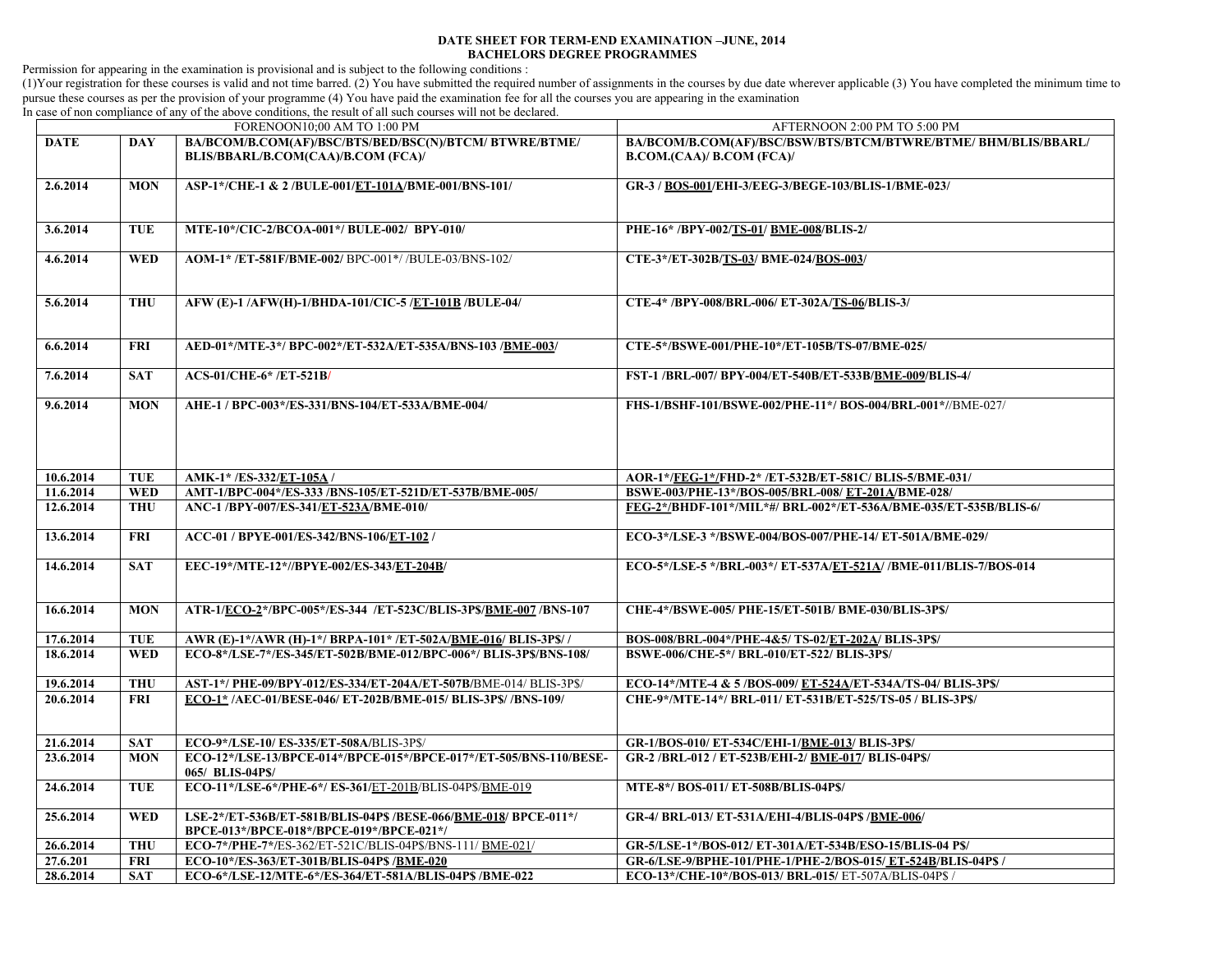## **DATE SHEET FOR TERM-END EXAMINATION –JUNE, 2014 BACHELORS DEGREE PROGRAMMES**

Permission for appearing in the examination is provisional and is subject to the following conditions :

(1)Your registration for these courses is valid and not time barred. (2) You have submitted the required number of assignments in the courses by due date wherever applicable (3) You have completed the minimum time to pursue these courses as per the provision of your programme (4) You have paid the examination fee for all the courses you are appearing in the examination

In case of non compliance of any of the above conditions, the result of all such courses will not be declared.

| FORENOON10;00 AM TO 1:00 PM |            |                                                                                                           | AFTERNOON 2:00 PM TO 5:00 PM                                                                |
|-----------------------------|------------|-----------------------------------------------------------------------------------------------------------|---------------------------------------------------------------------------------------------|
| <b>DATE</b>                 | <b>DAY</b> | BA/BCOM/B.COM(AF)/BSC/BTS/BED/BSC(N)/BTCM/ BTWRE/BTME/<br>BLIS/BBARL/B.COM(CAA)/B.COM (FCA)/              | BA/BCOM/B.COM(AF)/BSC/BSW/BTS/BTCM/BTWRE/BTME/ BHM/BLIS/BBARL/<br>B.COM.(CAA)/ B.COM (FCA)/ |
| 2.6.2014                    | <b>MON</b> | ASP-1*/CHE-1 & 2/BULE-001/ET-101A/BME-001/BNS-101/                                                        | GR-3 / BOS-001/EHI-3/EEG-3/BEGE-103/BLIS-1/BME-023/                                         |
| 3.6.2014                    | <b>TUE</b> | MTE-10*/CIC-2/BCOA-001*/ BULE-002/ BPY-010/                                                               | PHE-16* /BPY-002/TS-01/ BME-008/BLIS-2/                                                     |
| 4.6.2014                    | <b>WED</b> | AOM-1* /ET-581F/BME-002/ BPC-001*/ /BULE-03/BNS-102/                                                      | CTE-3*/ET-302B/TS-03/ BME-024/BOS-003/                                                      |
| 5.6.2014                    | <b>THU</b> | AFW (E)-1/AFW(H)-1/BHDA-101/CIC-5/ET-101B/BULE-04/                                                        | CTE-4* /BPY-008/BRL-006/ ET-302A/TS-06/BLIS-3/                                              |
| 6.6.2014                    | <b>FRI</b> | AED-01*/MTE-3*/ BPC-002*/ET-532A/ET-535A/BNS-103 /BME-003/                                                | CTE-5*/BSWE-001/PHE-10*/ET-105B/TS-07/BME-025/                                              |
| 7.6.2014                    | <b>SAT</b> | <b>ACS-01/CHE-6*/ET-521B/</b>                                                                             | FST-1/BRL-007/BPY-004/ET-540B/ET-533B/BME-009/BLIS-4/                                       |
| 9.6.2014                    | <b>MON</b> | AHE-1 / BPC-003*/ES-331/BNS-104/ET-533A/BME-004/                                                          | FHS-1/BSHF-101/BSWE-002/PHE-11*/BOS-004/BRL-001*//BME-027/                                  |
| 10.6.2014                   | <b>TUE</b> | AMK-1* /ES-332/ET-105A /                                                                                  | AOR-1*/FEG-1*/FHD-2* /ET-532B/ET-581C/ BLIS-5/BME-031/                                      |
| 11.6.2014                   | <b>WED</b> | AMT-1/BPC-004*/ES-333 /BNS-105/ET-521D/ET-537B/BME-005/                                                   | BSWE-003/PHE-13*/BOS-005/BRL-008/ ET-201A/BME-028/                                          |
| 12.6.2014                   | <b>THU</b> | ANC-1/BPY-007/ES-341/ET-523A/BME-010/                                                                     | FEG-2*/BHDF-101*/MIL*#/ BRL-002*/ET-536A/BME-035/ET-535B/BLIS-6/                            |
| 13.6.2014                   | <b>FRI</b> | ACC-01 / BPYE-001/ES-342/BNS-106/ET-102 /                                                                 | ECO-3*/LSE-3 */BSWE-004/BOS-007/PHE-14/ ET-501A/BME-029/                                    |
| 14.6.2014                   | <b>SAT</b> | EEC-19*/MTE-12*//BPYE-002/ES-343/ET-204B/                                                                 | ECO-5*/LSE-5 */BRL-003*/ ET-537A/ET-521A/ /BME-011/BLIS-7/BOS-014                           |
| 16.6.2014                   | <b>MON</b> | ATR-1/ECO-2*/BPC-005*/ES-344 /ET-523C/BLIS-3P\$/BME-007 /BNS-107                                          | CHE-4*/BSWE-005/ PHE-15/ET-501B/ BME-030/BLIS-3P\$/                                         |
| 17.6.2014                   | <b>TUE</b> | AWR (E)-1*/AWR (H)-1*/ BRPA-101* /ET-502A/BME-016/ BLIS-3P\$//                                            | BOS-008/BRL-004*/PHE-4&5/TS-02/ET-202A/BLIS-3P\$/                                           |
| 18.6.2014                   | <b>WED</b> | ECO-8*/LSE-7*/ES-345/ET-502B/BME-012/BPC-006*/BLIS-3P\$/BNS-108/                                          | BSWE-006/CHE-5*/ BRL-010/ET-522/ BLIS-3PS/                                                  |
| 19.6.2014                   | <b>THU</b> | AST-1*/PHE-09/BPY-012/ES-334/ET-204A/ET-507B/BME-014/ BLIS-3P\$/                                          | ECO-14*/MTE-4 & 5/BOS-009/ ET-524A/ET-534A/TS-04/ BLIS-3P\$/                                |
| 20.6.2014                   | <b>FRI</b> | ECO-1*/AEC-01/BESE-046/ET-202B/BME-015/BLIS-3P\$//BNS-109/                                                | CHE-9*/MTE-14*/ BRL-011/ ET-531B/ET-525/TS-05 / BLIS-3PS/                                   |
| 21.6.2014                   | <b>SAT</b> | ECO-9*/LSE-10/ ES-335/ET-508A/BLIS-3P\$/                                                                  | GR-1/BOS-010/ ET-534C/EHI-1/BME-013/ BLIS-3P\$/                                             |
| 23.6.2014                   | <b>MON</b> | ECO-12*/LSE-13/BPCE-014*/BPCE-015*/BPCE-017*/ET-505/BNS-110/BESE-<br>065/ BLIS-04PS/                      | GR-2/BRL-012/ET-523B/EHI-2/BME-017/BLIS-04P\$/                                              |
| 24.6.2014                   | <b>TUE</b> | ECO-11*/LSE-6*/PHE-6*/ ES-361/ET-201B/BLIS-04P\$/BME-019                                                  | MTE-8*/ BOS-011/ ET-508B/BLIS-04P\$/                                                        |
| 25.6.2014                   | <b>WED</b> | LSE-2*/ET-536B/ET-581B/BLIS-04P\$/BESE-066/BME-018/BPCE-011*/<br>BPCE-013*/BPCE-018*/BPCE-019*/BPCE-021*/ | GR-4/ BRL-013/ ET-531A/EHI-4/BLIS-04P\$ /BME-006/                                           |
| 26.6.2014                   | <b>THU</b> | ECO-7*/PHE-7*/ES-362/ET-521C/BLIS-04P\$/BNS-111/ BME-021/                                                 | GR-5/LSE-1*/BOS-012/ ET-301A/ET-534B/ESO-15/BLIS-04 P\$/                                    |
| 27.6.201                    | <b>FRI</b> | ECO-10*/ES-363/ET-301B/BLIS-04P\$ /BME-020                                                                | GR-6/LSE-9/BPHE-101/PHE-1/PHE-2/BOS-015/ET-524B/BLIS-04P\$/                                 |
| 28.6.2014                   | <b>SAT</b> | ECO-6*/LSE-12/MTE-6*/ES-364/ET-581A/BLIS-04P\$ /BME-022                                                   | ECO-13*/CHE-10*/BOS-013/ BRL-015/ ET-507A/BLIS-04P\$ /                                      |